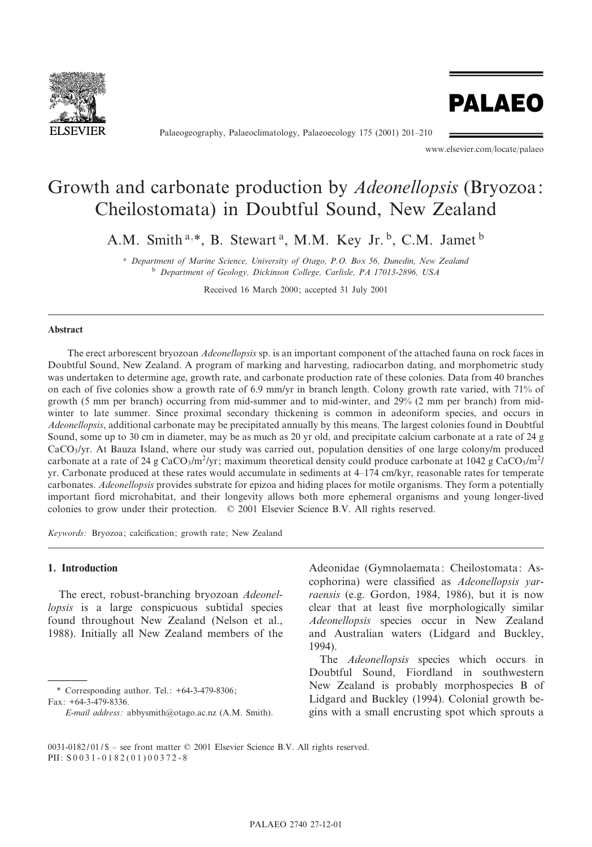

Palaeogeography, Palaeoclimatology, Palaeoecology 175 (2001) 201-210

www.elsevier.com/locate/palaeo

**PALAEO** 

# Growth and carbonate production by Adeonellopsis (Bryozoa: Cheilostomata) in Doubtful Sound, New Zealand

A.M. Smith<sup>a,\*</sup>, B. Stewart<sup>a</sup>, M.M. Key Jr.<sup>b</sup>, C.M. Jamet<sup>b</sup>

<sup>a</sup> Department of Marine Science, University of Otago, P.O. Box 56, Dunedin, New Zealand <sup>b</sup> Department of Geology, Dickinson College, Carlisle, PA 17013-2896, USA

Received 16 March 2000; accepted 31 July 2001

# Abstract

The erect arborescent bryozoan Adeonellopsis sp. is an important component of the attached fauna on rock faces in Doubtful Sound, New Zealand. A program of marking and harvesting, radiocarbon dating, and morphometric study was undertaken to determine age, growth rate, and carbonate production rate of these colonies. Data from 40 branches on each of five colonies show a growth rate of 6.9 mm/yr in branch length. Colony growth rate varied, with 71% of growth (5 mm per branch) occurring from mid-summer and to mid-winter, and 29% (2 mm per branch) from midwinter to late summer. Since proximal secondary thickening is common in adeoniform species, and occurs in Adeonellopsis, additional carbonate may be precipitated annually by this means. The largest colonies found in Doubtful Sound, some up to 30 cm in diameter, may be as much as 20 yr old, and precipitate calcium carbonate at a rate of 24 g CaCO3/yr. At Bauza Island, where our study was carried out, population densities of one large colony/m produced carbonate at a rate of 24 g CaCO<sub>3</sub>/m<sup>2</sup>/yr; maximum theoretical density could produce carbonate at 1042 g CaCO<sub>3</sub>/m<sup>2</sup>/ yr. Carbonate produced at these rates would accumulate in sediments at 4^174 cm/kyr, reasonable rates for temperate carbonates. Adeonellopsis provides substrate for epizoa and hiding places for motile organisms. They form a potentially important fiord microhabitat, and their longevity allows both more ephemeral organisms and young longer-lived colonies to grow under their protection.  $\oslash$  2001 Elsevier Science B.V. All rights reserved.

Keywords: Bryozoa; calcification; growth rate; New Zealand

# 1. Introduction

The erect, robust-branching bryozoan Adeonellopsis is a large conspicuous subtidal species found throughout New Zealand (Nelson et al., 1988). Initially all New Zealand members of the

\* Corresponding author. Tel.: +64-3-479-8306; Fax: +64-3-479-8336.

Adeonidae (Gymnolaemata: Cheilostomata: Ascophorina) were classified as Adeonellopsis yarraensis (e.g. Gordon, 1984, 1986), but it is now clear that at least five morphologically similar Adeonellopsis species occur in New Zealand and Australian waters (Lidgard and Buckley, 1994).

The *Adeonellopsis* species which occurs in Doubtful Sound, Fiordland in southwestern New Zealand is probably morphospecies B of Lidgard and Buckley (1994). Colonial growth begins with a small encrusting spot which sprouts a

E-mail address: abbysmith@otago.ac.nz (A.M. Smith).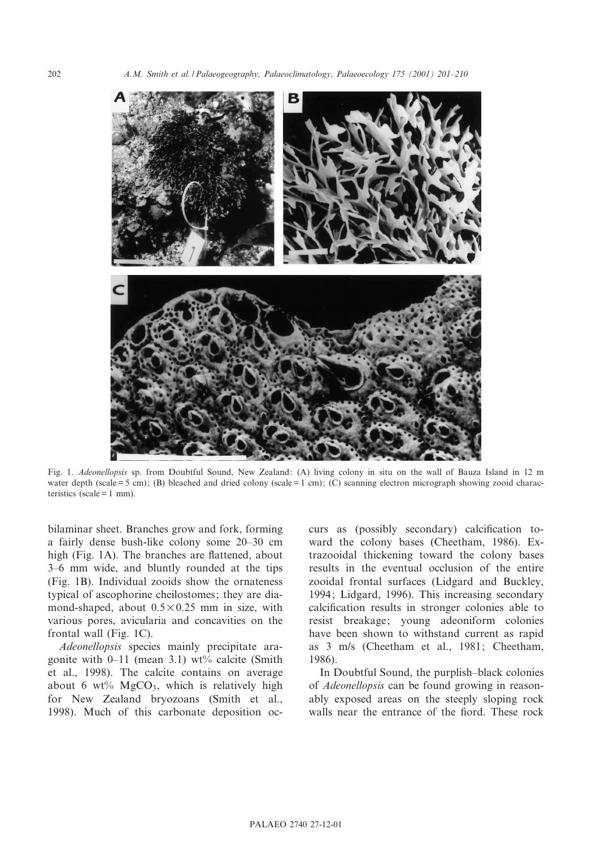

Fig. 1. Adeonellopsis sp. from Doubtful Sound, New Zealand: (A) living colony in situ on the wall of Bauza Island in 12 m water depth (scale = 5 cm); (B) bleached and dried colony (scale = 1 cm); (C) scanning electron micrograph showing zooid characteristics (scale  $= 1$  mm).

bilaminar sheet. Branches grow and fork, forming a fairly dense bush-like colony some 20^30 cm high (Fig. 1A). The branches are flattened, about 3^6 mm wide, and bluntly rounded at the tips (Fig. 1B). Individual zooids show the ornateness typical of ascophorine cheilostomes; they are diamond-shaped, about  $0.5 \times 0.25$  mm in size, with various pores, avicularia and concavities on the frontal wall (Fig. 1C).

Adeonellopsis species mainly precipitate aragonite with  $0-11$  (mean 3.1) wt% calcite (Smith et al., 1998). The calcite contains on average about 6 wt%  $MgCO<sub>3</sub>$ , which is relatively high for New Zealand bryozoans (Smith et al., 1998). Much of this carbonate deposition oc-

curs as (possibly secondary) calcification toward the colony bases (Cheetham, 1986). Extrazooidal thickening toward the colony bases results in the eventual occlusion of the entire zooidal frontal surfaces (Lidgard and Buckley, 1994; Lidgard, 1996). This increasing secondary calcification results in stronger colonies able to resist breakage; young adeoniform colonies have been shown to withstand current as rapid as 3 m/s (Cheetham et al., 1981; Cheetham, 1986).

In Doubtful Sound, the purplish^black colonies of Adeonellopsis can be found growing in reasonably exposed areas on the steeply sloping rock walls near the entrance of the fiord. These rock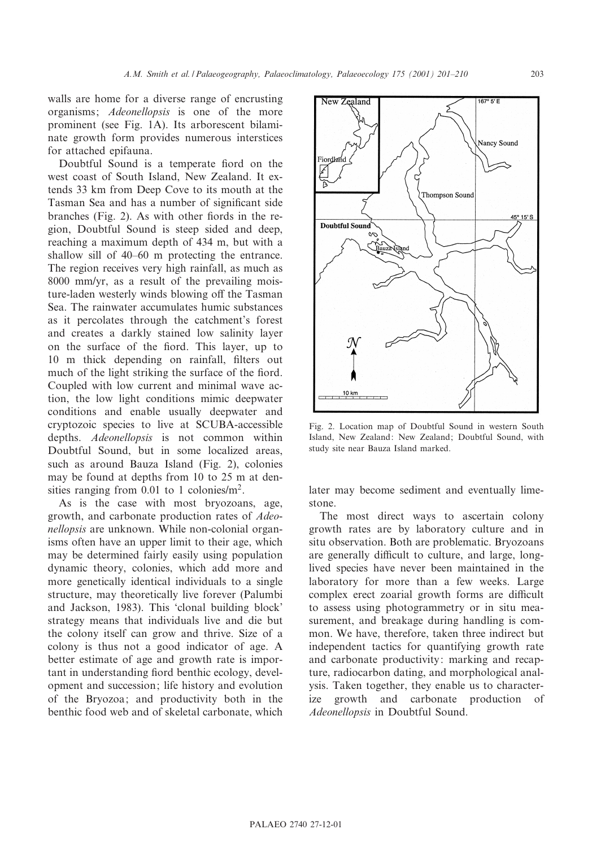walls are home for a diverse range of encrusting organisms; Adeonellopsis is one of the more prominent (see Fig. 1A). Its arborescent bilaminate growth form provides numerous interstices for attached epifauna.

Doubtful Sound is a temperate fiord on the west coast of South Island, New Zealand. It extends 33 km from Deep Cove to its mouth at the Tasman Sea and has a number of significant side branches (Fig. 2). As with other fiords in the region, Doubtful Sound is steep sided and deep, reaching a maximum depth of 434 m, but with a shallow sill of 40–60 m protecting the entrance. The region receives very high rainfall, as much as 8000 mm/yr, as a result of the prevailing moisture-laden westerly winds blowing off the Tasman Sea. The rainwater accumulates humic substances as it percolates through the catchment's forest and creates a darkly stained low salinity layer on the surface of the fiord. This layer, up to 10 m thick depending on rainfall, filters out much of the light striking the surface of the fiord. Coupled with low current and minimal wave action, the low light conditions mimic deepwater conditions and enable usually deepwater and cryptozoic species to live at SCUBA-accessible depths. Adeonellopsis is not common within Doubtful Sound, but in some localized areas, such as around Bauza Island (Fig. 2), colonies may be found at depths from 10 to 25 m at densities ranging from  $0.01$  to 1 colonies/m<sup>2</sup>.

As is the case with most bryozoans, age, growth, and carbonate production rates of Adeonellopsis are unknown. While non-colonial organisms often have an upper limit to their age, which may be determined fairly easily using population dynamic theory, colonies, which add more and more genetically identical individuals to a single structure, may theoretically live forever (Palumbi and Jackson, 1983). This `clonal building block' strategy means that individuals live and die but the colony itself can grow and thrive. Size of a colony is thus not a good indicator of age. A better estimate of age and growth rate is important in understanding fiord benthic ecology, development and succession; life history and evolution of the Bryozoa; and productivity both in the benthic food web and of skeletal carbonate, which



Fig. 2. Location map of Doubtful Sound in western South Island, New Zealand: New Zealand; Doubtful Sound, with study site near Bauza Island marked.

later may become sediment and eventually limestone.

The most direct ways to ascertain colony growth rates are by laboratory culture and in situ observation. Both are problematic. Bryozoans are generally difficult to culture, and large, longlived species have never been maintained in the laboratory for more than a few weeks. Large complex erect zoarial growth forms are difficult to assess using photogrammetry or in situ measurement, and breakage during handling is common. We have, therefore, taken three indirect but independent tactics for quantifying growth rate and carbonate productivity: marking and recapture, radiocarbon dating, and morphological analysis. Taken together, they enable us to characterize growth and carbonate production of Adeonellopsis in Doubtful Sound.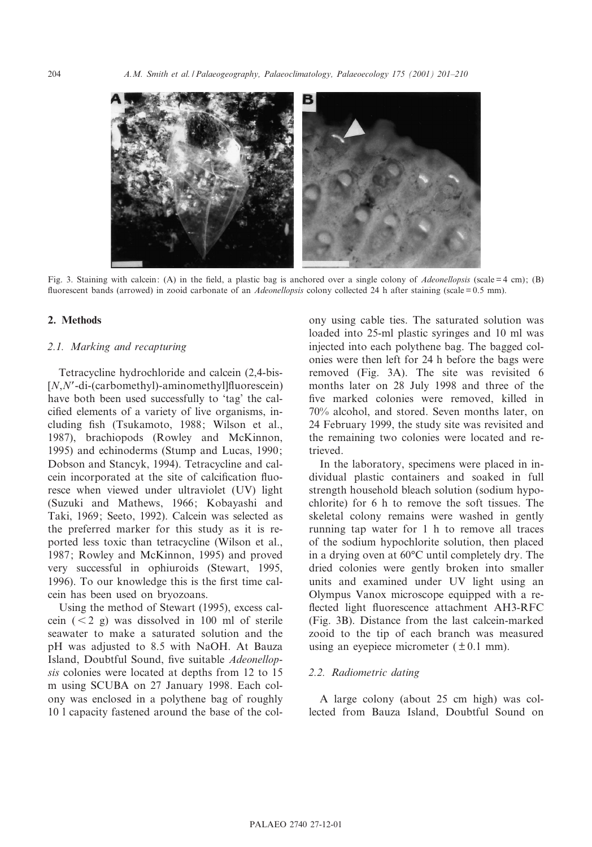

Fig. 3. Staining with calcein: (A) in the field, a plastic bag is anchored over a single colony of *Adeonellopsis* (scale = 4 cm); (B) fluorescent bands (arrowed) in zooid carbonate of an *Adeonellopsis* colony collected 24 h after staining (scale =  $0.5$  mm).

## 2. Methods

#### 2.1. Marking and recapturing

Tetracycline hydrochloride and calcein (2,4-bis-  $[N, N'-di-(\text{carbonethyl})$ -aminomethyl]fluorescein) have both been used successfully to 'tag' the calcified elements of a variety of live organisms, including fish (Tsukamoto, 1988; Wilson et al., 1987), brachiopods (Rowley and McKinnon, 1995) and echinoderms (Stump and Lucas, 1990; Dobson and Stancyk, 1994). Tetracycline and calcein incorporated at the site of calcification fluoresce when viewed under ultraviolet (UV) light (Suzuki and Mathews, 1966; Kobayashi and Taki, 1969; Seeto, 1992). Calcein was selected as the preferred marker for this study as it is reported less toxic than tetracycline (Wilson et al., 1987; Rowley and McKinnon, 1995) and proved very successful in ophiuroids (Stewart, 1995, 1996). To our knowledge this is the first time calcein has been used on bryozoans.

Using the method of Stewart (1995), excess calcein  $(< 2 g)$  was dissolved in 100 ml of sterile seawater to make a saturated solution and the pH was adjusted to 8.5 with NaOH. At Bauza Island, Doubtful Sound, five suitable *Adeonellop*sis colonies were located at depths from 12 to 15 m using SCUBA on 27 January 1998. Each colony was enclosed in a polythene bag of roughly 10 l capacity fastened around the base of the col-

ony using cable ties. The saturated solution was loaded into 25-ml plastic syringes and 10 ml was injected into each polythene bag. The bagged colonies were then left for 24 h before the bags were removed (Fig. 3A). The site was revisited 6 months later on 28 July 1998 and three of the five marked colonies were removed, killed in 70% alcohol, and stored. Seven months later, on 24 February 1999, the study site was revisited and the remaining two colonies were located and retrieved.

In the laboratory, specimens were placed in individual plastic containers and soaked in full strength household bleach solution (sodium hypochlorite) for 6 h to remove the soft tissues. The skeletal colony remains were washed in gently running tap water for 1 h to remove all traces of the sodium hypochlorite solution, then placed in a drying oven at  $60^{\circ}$ C until completely dry. The dried colonies were gently broken into smaller units and examined under UV light using an Olympus Vanox microscope equipped with a re flected light fluorescence attachment AH3-RFC (Fig. 3B). Distance from the last calcein-marked zooid to the tip of each branch was measured using an eyepiece micrometer  $(\pm 0.1 \text{ mm})$ .

### 2.2. Radiometric dating

A large colony (about 25 cm high) was collected from Bauza Island, Doubtful Sound on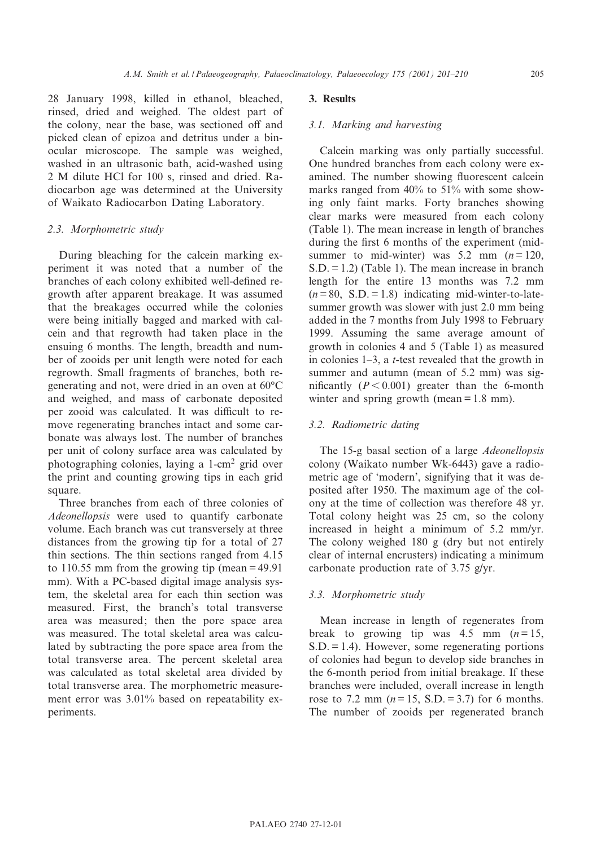28 January 1998, killed in ethanol, bleached, rinsed, dried and weighed. The oldest part of the colony, near the base, was sectioned off and picked clean of epizoa and detritus under a binocular microscope. The sample was weighed, washed in an ultrasonic bath, acid-washed using 2 M dilute HCl for 100 s, rinsed and dried. Radiocarbon age was determined at the University of Waikato Radiocarbon Dating Laboratory.

# 2.3. Morphometric study

During bleaching for the calcein marking experiment it was noted that a number of the branches of each colony exhibited well-defined regrowth after apparent breakage. It was assumed that the breakages occurred while the colonies were being initially bagged and marked with calcein and that regrowth had taken place in the ensuing 6 months. The length, breadth and number of zooids per unit length were noted for each regrowth. Small fragments of branches, both regenerating and not, were dried in an oven at  $60^{\circ}$ C and weighed, and mass of carbonate deposited per zooid was calculated. It was difficult to remove regenerating branches intact and some carbonate was always lost. The number of branches per unit of colony surface area was calculated by photographing colonies, laying a 1-cm<sup>2</sup> grid over the print and counting growing tips in each grid square.

Three branches from each of three colonies of Adeonellopsis were used to quantify carbonate volume. Each branch was cut transversely at three distances from the growing tip for a total of 27 thin sections. The thin sections ranged from 4.15 to 110.55 mm from the growing tip (mean = 49.91 mm). With a PC-based digital image analysis system, the skeletal area for each thin section was measured. First, the branch's total transverse area was measured; then the pore space area was measured. The total skeletal area was calculated by subtracting the pore space area from the total transverse area. The percent skeletal area was calculated as total skeletal area divided by total transverse area. The morphometric measurement error was 3.01% based on repeatability experiments.

### 3. Results

# 3.1. Marking and harvesting

Calcein marking was only partially successful. One hundred branches from each colony were examined. The number showing fluorescent calcein marks ranged from 40% to 51% with some showing only faint marks. Forty branches showing clear marks were measured from each colony (Table 1). The mean increase in length of branches during the first 6 months of the experiment (midsummer to mid-winter) was  $5.2$  mm  $(n=120)$ . S.D. = 1.2) (Table 1). The mean increase in branch length for the entire 13 months was 7.2 mm  $(n = 80, S.D. = 1.8)$  indicating mid-winter-to-latesummer growth was slower with just 2.0 mm being added in the 7 months from July 1998 to February 1999. Assuming the same average amount of growth in colonies 4 and 5 (Table 1) as measured in colonies  $1-3$ , a *t*-test revealed that the growth in summer and autumn (mean of 5.2 mm) was significantly  $(P < 0.001)$  greater than the 6-month winter and spring growth (mean = 1.8 mm).

# 3.2. Radiometric dating

The 15-g basal section of a large Adeonellopsis colony (Waikato number Wk-6443) gave a radiometric age of `modern', signifying that it was deposited after 1950. The maximum age of the colony at the time of collection was therefore 48 yr. Total colony height was 25 cm, so the colony increased in height a minimum of 5.2 mm/yr. The colony weighed 180 g (dry but not entirely clear of internal encrusters) indicating a minimum carbonate production rate of 3.75 g/yr.

#### 3.3. Morphometric study

Mean increase in length of regenerates from break to growing tip was 4.5 mm  $(n=15,$  $S.D. = 1.4$ ). However, some regenerating portions of colonies had begun to develop side branches in the 6-month period from initial breakage. If these branches were included, overall increase in length rose to 7.2 mm ( $n = 15$ , S.D. = 3.7) for 6 months. The number of zooids per regenerated branch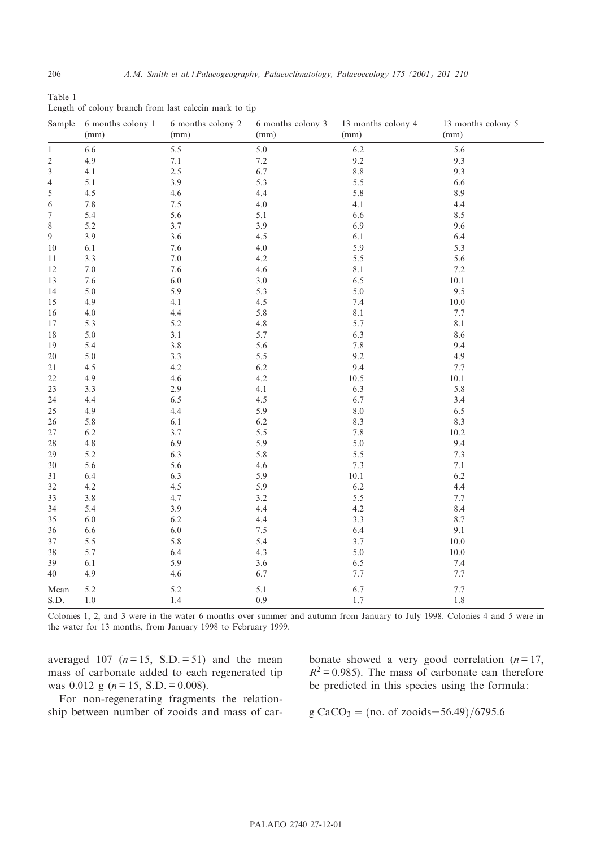| Table 1                                               |  |  |  |  |
|-------------------------------------------------------|--|--|--|--|
| Length of colony branch from last calcein mark to tip |  |  |  |  |

| Sample         | 6 months colony 1 | 6 months colony 2 | 6 months colony 3 | 13 months colony 4 | 13 months colony 5 |
|----------------|-------------------|-------------------|-------------------|--------------------|--------------------|
|                | (mm)              | (mm)              | (mm)              | (mm)               | (mm)               |
| $\mathbf{1}$   | $6.6\,$           | 5.5               | $5.0\,$           | $6.2\,$            | 5.6                |
| $\overline{c}$ | 4.9               | 7.1               | 7.2               | 9.2                | 9.3                |
| 3              | 4.1               | 2.5               | 6.7               | $8.8\,$            | 9.3                |
| 4              | 5.1               | 3.9               | 5.3               | 5.5                | 6.6                |
| 5              | 4.5               | 4.6               | 4.4               | 5.8                | 8.9                |
| 6              | 7.8               | 7.5               | 4.0               | 4.1                | 4.4                |
| 7              | 5.4               | 5.6               | 5.1               | 6.6                | 8.5                |
| 8              | 5.2               | 3.7               | 3.9               | 6.9                | 9.6                |
| 9              | 3.9               | 3.6               | 4.5               | $6.1\,$            | 6.4                |
| 10             | 6.1               | 7.6               | 4.0               | 5.9                | 5.3                |
| 11             | 3.3               | 7.0               | 4.2               | 5.5                | 5.6                |
| 12             | $7.0\,$           | 7.6               | 4.6               | 8.1                | 7.2                |
| 13             | $7.6\,$           | $6.0\,$           | $3.0\,$           | 6.5                | $10.1\,$           |
| 14             | 5.0               | 5.9               | 5.3               | $5.0\,$            | 9.5                |
| 15             | 4.9               | 4.1               | 4.5               | 7.4                | $10.0\,$           |
| 16             | $4.0\,$           | 4.4               | 5.8               | 8.1                | 7.7                |
| 17             | 5.3               | 5.2               | 4.8               | 5.7                | 8.1                |
| 18             | $5.0\,$           | 3.1               | 5.7               | 6.3                | 8.6                |
| 19             | 5.4               | 3.8               | 5.6               | $7.8\,$            | 9.4                |
| 20             | 5.0               | 3.3               | 5.5               | 9.2                | 4.9                |
| 21             | 4.5               | 4.2               | $6.2\,$           | 9.4                | 7.7                |
| 22             | 4.9               | 4.6               | 4.2               | 10.5               | $10.1\,$           |
| 23             | 3.3               | 2.9               | 4.1               | 6.3                | 5.8                |
| 24             | 4.4               | 6.5               | 4.5               | 6.7                | 3.4                |
| 25             | 4.9               | 4.4               | 5.9               | $8.0\,$            | 6.5                |
| 26             | 5.8               | 6.1               | 6.2               | 8.3                | 8.3                |
| 27             | 6.2               | 3.7               | 5.5               | $7.8\,$            | 10.2               |
| 28             | $4.8\,$           | 6.9               | 5.9               | $5.0\,$            | 9.4                |
| 29             | 5.2               | 6.3               | 5.8               | 5.5                | 7.3                |
| 30             | 5.6               | 5.6               | 4.6               | 7.3                | 7.1                |
| 31             | 6.4               | 6.3               | 5.9               | $10.1\,$           | $6.2\,$            |
| 32             | 4.2               | 4.5               | 5.9               | 6.2                | 4.4                |
| 33             | $3.8\,$           | 4.7               | 3.2               | 5.5                | 7.7                |
| 34             | 5.4               | 3.9               | 4.4               | 4.2                | 8.4                |
| 35             | 6.0               | 6.2               | 4.4               | 3.3                | 8.7                |
| 36             | 6.6               | 6.0               | 7.5               | 6.4                | 9.1                |
| 37             | 5.5               | 5.8               | 5.4               | 3.7                | $10.0\,$           |
| 38             | 5.7               | 6.4               | 4.3               | $5.0\,$            | 10.0               |
| 39             | 6.1               | 5.9               | 3.6               | 6.5                | 7.4                |
| 40             | 4.9               | 4.6               | 6.7               | 7.7                | 7.7                |
| Mean           | 5.2               | 5.2               | 5.1               | 6.7                | 7.7                |
| S.D.           | 1.0               | 1.4               | 0.9               | 1.7                | 1.8                |

Colonies 1, 2, and 3 were in the water 6 months over summer and autumn from January to July 1998. Colonies 4 and 5 were in the water for 13 months, from January 1998 to February 1999.

averaged 107 ( $n = 15$ , S.D. = 51) and the mean mass of carbonate added to each regenerated tip was 0.012 g ( $n = 15$ , S.D. = 0.008).

For non-regenerating fragments the relationship between number of zooids and mass of carbonate showed a very good correlation  $(n = 17)$ ,  $R^2 = 0.985$ ). The mass of carbonate can therefore be predicted in this species using the formula:

 $g CaCO<sub>3</sub> = (no. of zooids-56.49)/6795.6$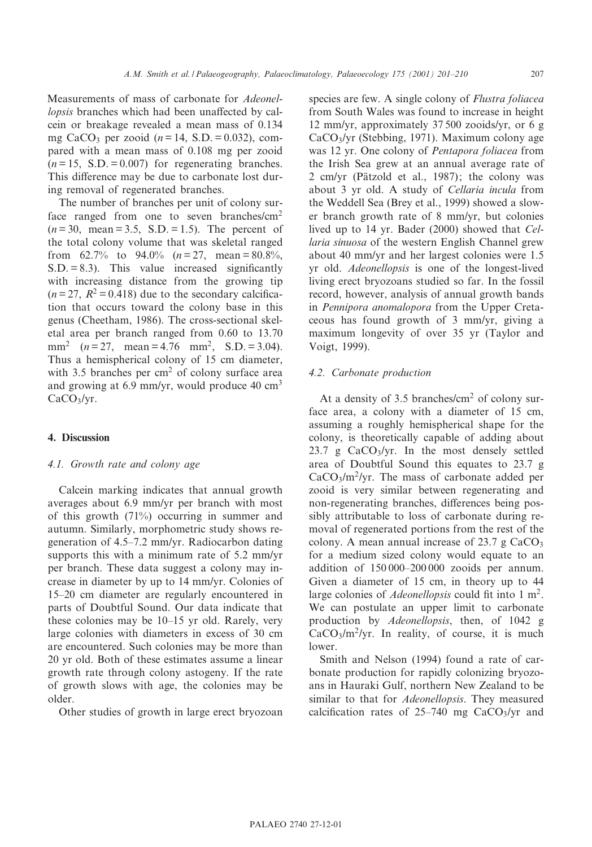Measurements of mass of carbonate for Adeonellopsis branches which had been unaffected by calcein or breakage revealed a mean mass of 0.134 mg CaCO<sub>3</sub> per zooid ( $n = 14$ , S.D. = 0.032), compared with a mean mass of 0.108 mg per zooid  $(n = 15, S.D. = 0.007)$  for regenerating branches. This difference may be due to carbonate lost during removal of regenerated branches.

The number of branches per unit of colony surface ranged from one to seven branches/cm<sup>2</sup>  $(n = 30, \text{ mean} = 3.5, \text{ S.D.} = 1.5)$ . The percent of the total colony volume that was skeletal ranged from 62.7% to 94.0%  $(n=27, \text{mean} = 80.8\%$ ,  $S.D. = 8.3$ ). This value increased significantly with increasing distance from the growing tip  $(n=27, R^2=0.418)$  due to the secondary calcification that occurs toward the colony base in this genus (Cheetham, 1986). The cross-sectional skeletal area per branch ranged from 0.60 to 13.70 mm<sup>2</sup>  $(n = 27$ , mean = 4.76 mm<sup>2</sup>, S.D. = 3.04). Thus a hemispherical colony of 15 cm diameter, with 3.5 branches per  $\text{cm}^2$  of colony surface area and growing at 6.9 mm/yr, would produce 40  $\text{cm}^3$ CaCO<sub>3</sub>/yr.

# 4. Discussion

# 4.1. Growth rate and colony age

Calcein marking indicates that annual growth averages about 6.9 mm/yr per branch with most of this growth (71%) occurring in summer and autumn. Similarly, morphometric study shows regeneration of 4.5^7.2 mm/yr. Radiocarbon dating supports this with a minimum rate of 5.2 mm/yr per branch. These data suggest a colony may increase in diameter by up to 14 mm/yr. Colonies of 15<sup>-20</sup> cm diameter are regularly encountered in parts of Doubtful Sound. Our data indicate that these colonies may be 10-15 yr old. Rarely, very large colonies with diameters in excess of 30 cm are encountered. Such colonies may be more than 20 yr old. Both of these estimates assume a linear growth rate through colony astogeny. If the rate of growth slows with age, the colonies may be older.

Other studies of growth in large erect bryozoan

species are few. A single colony of Flustra foliacea from South Wales was found to increase in height 12 mm/yr, approximately 37 500 zooids/yr, or 6 g CaCO3/yr (Stebbing, 1971). Maximum colony age was 12 yr. One colony of Pentapora foliacea from the Irish Sea grew at an annual average rate of  $2$  cm/yr (Pätzold et al., 1987); the colony was about 3 yr old. A study of Cellaria incula from the Weddell Sea (Brey et al., 1999) showed a slower branch growth rate of 8 mm/yr, but colonies lived up to 14 yr. Bader (2000) showed that Cellaria sinuosa of the western English Channel grew about 40 mm/yr and her largest colonies were 1.5 yr old. Adeonellopsis is one of the longest-lived living erect bryozoans studied so far. In the fossil record, however, analysis of annual growth bands in Pennipora anomalopora from the Upper Cretaceous has found growth of 3 mm/yr, giving a maximum longevity of over 35 yr (Taylor and Voigt, 1999).

# 4.2. Carbonate production

At a density of  $3.5$  branches/cm<sup>2</sup> of colony surface area, a colony with a diameter of 15 cm, assuming a roughly hemispherical shape for the colony, is theoretically capable of adding about 23.7 g  $CaCO<sub>3</sub>/yr$ . In the most densely settled area of Doubtful Sound this equates to 23.7 g  $CaCO<sub>3</sub>/m<sup>2</sup>/yr$ . The mass of carbonate added per zooid is very similar between regenerating and non-regenerating branches, differences being possibly attributable to loss of carbonate during removal of regenerated portions from the rest of the colony. A mean annual increase of  $23.7 \text{ g } CaCO<sub>3</sub>$ for a medium sized colony would equate to an addition of  $150\,000-200\,000$  zooids per annum. Given a diameter of 15 cm, in theory up to 44 large colonies of *Adeonellopsis* could fit into  $1 \text{ m}^2$ . We can postulate an upper limit to carbonate production by Adeonellopsis, then, of 1042 g  $CaCO<sub>3</sub>/m<sup>2</sup>/yr$ . In reality, of course, it is much lower.

Smith and Nelson (1994) found a rate of carbonate production for rapidly colonizing bryozoans in Hauraki Gulf, northern New Zealand to be similar to that for Adeonellopsis. They measured calcification rates of  $25-740$  mg CaCO<sub>3</sub>/yr and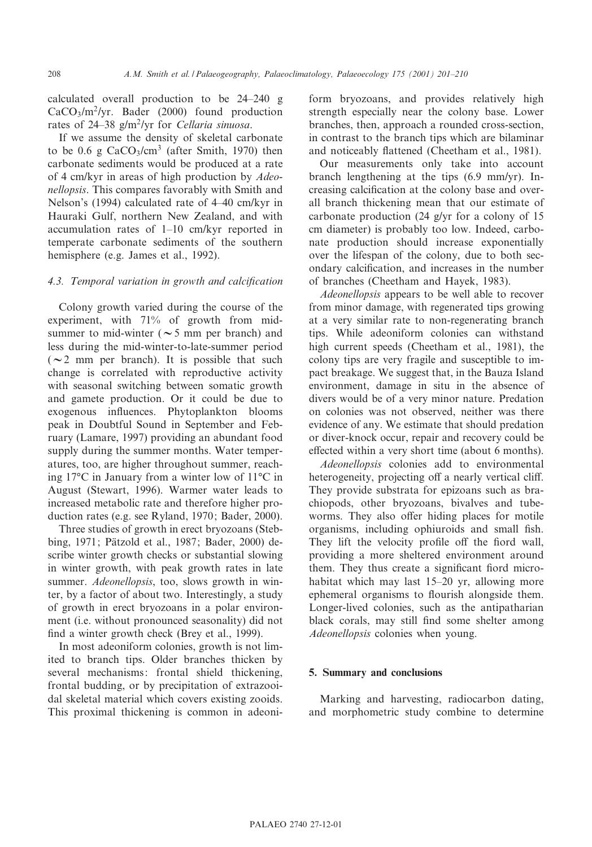calculated overall production to be 24^240 g  $CaCO<sub>3</sub>/m<sup>2</sup>/yr$ . Bader (2000) found production rates of  $24-38$  g/m<sup>2</sup>/yr for Cellaria sinuosa.

If we assume the density of skeletal carbonate to be 0.6 g  $CaCO<sub>3</sub>/cm<sup>3</sup>$  (after Smith, 1970) then carbonate sediments would be produced at a rate of 4 cm/kyr in areas of high production by Adeonellopsis. This compares favorably with Smith and Nelson's (1994) calculated rate of 4-40 cm/kyr in Hauraki Gulf, northern New Zealand, and with accumulation rates of 1^10 cm/kyr reported in temperate carbonate sediments of the southern hemisphere (e.g. James et al., 1992).

# 4.3. Temporal variation in growth and calcification

Colony growth varied during the course of the experiment, with 71% of growth from midsummer to mid-winter ( $\sim$  5 mm per branch) and less during the mid-winter-to-late-summer period ( $\sim$ 2 mm per branch). It is possible that such change is correlated with reproductive activity with seasonal switching between somatic growth and gamete production. Or it could be due to exogenous influences. Phytoplankton blooms peak in Doubtful Sound in September and February (Lamare, 1997) providing an abundant food supply during the summer months. Water temperatures, too, are higher throughout summer, reaching  $17^{\circ}$ C in January from a winter low of  $11^{\circ}$ C in August (Stewart, 1996). Warmer water leads to increased metabolic rate and therefore higher production rates (e.g. see Ryland, 1970; Bader, 2000).

Three studies of growth in erect bryozoans (Stebbing, 1971; Pätzold et al., 1987; Bader, 2000) describe winter growth checks or substantial slowing in winter growth, with peak growth rates in late summer. Adeonellopsis, too, slows growth in winter, by a factor of about two. Interestingly, a study of growth in erect bryozoans in a polar environment (i.e. without pronounced seasonality) did not find a winter growth check (Brey et al., 1999).

In most adeoniform colonies, growth is not limited to branch tips. Older branches thicken by several mechanisms: frontal shield thickening, frontal budding, or by precipitation of extrazooidal skeletal material which covers existing zooids. This proximal thickening is common in adeoniform bryozoans, and provides relatively high strength especially near the colony base. Lower branches, then, approach a rounded cross-section, in contrast to the branch tips which are bilaminar and noticeably flattened (Cheetham et al., 1981).

Our measurements only take into account branch lengthening at the tips (6.9 mm/yr). Increasing calcification at the colony base and overall branch thickening mean that our estimate of carbonate production (24 g/yr for a colony of 15 cm diameter) is probably too low. Indeed, carbonate production should increase exponentially over the lifespan of the colony, due to both secondary calcification, and increases in the number of branches (Cheetham and Hayek, 1983).

Adeonellopsis appears to be well able to recover from minor damage, with regenerated tips growing at a very similar rate to non-regenerating branch tips. While adeoniform colonies can withstand high current speeds (Cheetham et al., 1981), the colony tips are very fragile and susceptible to impact breakage. We suggest that, in the Bauza Island environment, damage in situ in the absence of divers would be of a very minor nature. Predation on colonies was not observed, neither was there evidence of any. We estimate that should predation or diver-knock occur, repair and recovery could be effected within a very short time (about 6 months).

Adeonellopsis colonies add to environmental heterogeneity, projecting off a nearly vertical cliff. They provide substrata for epizoans such as brachiopods, other bryozoans, bivalves and tubeworms. They also offer hiding places for motile organisms, including ophiuroids and small fish. They lift the velocity profile off the fiord wall, providing a more sheltered environment around them. They thus create a significant fiord microhabitat which may last 15-20 yr, allowing more ephemeral organisms to flourish alongside them. Longer-lived colonies, such as the antipatharian black corals, may still find some shelter among Adeonellopsis colonies when young.

### 5. Summary and conclusions

Marking and harvesting, radiocarbon dating, and morphometric study combine to determine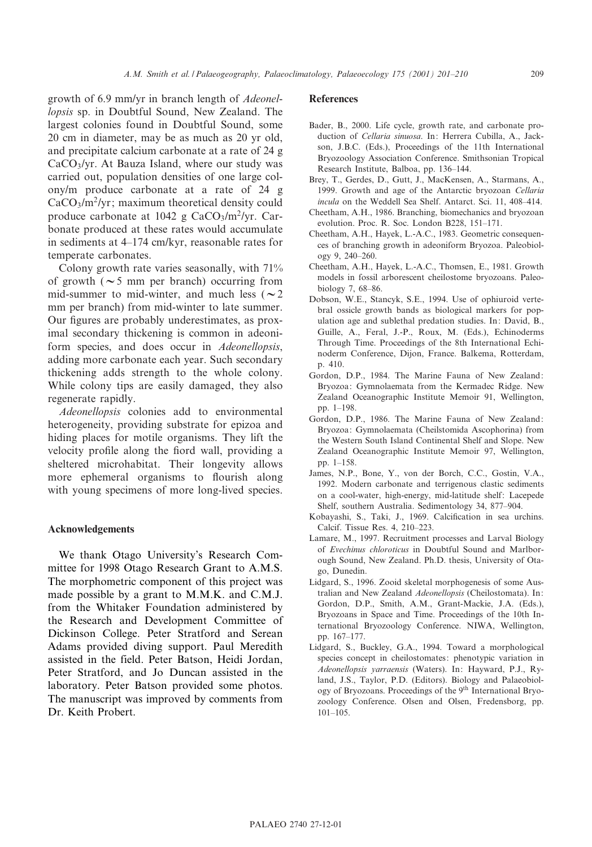growth of 6.9 mm/yr in branch length of Adeonellopsis sp. in Doubtful Sound, New Zealand. The largest colonies found in Doubtful Sound, some 20 cm in diameter, may be as much as 20 yr old, and precipitate calcium carbonate at a rate of 24 g CaCO3/yr. At Bauza Island, where our study was carried out, population densities of one large colony/m produce carbonate at a rate of 24 g  $CaCO<sub>3</sub>/m<sup>2</sup>/yr$ ; maximum theoretical density could produce carbonate at 1042 g  $CaCO<sub>3</sub>/m<sup>2</sup>/yr$ . Carbonate produced at these rates would accumulate in sediments at 4-174 cm/kyr, reasonable rates for temperate carbonates.

Colony growth rate varies seasonally, with 71% of growth ( $\sim$ 5 mm per branch) occurring from mid-summer to mid-winter, and much less ( $\sim$ 2 mm per branch) from mid-winter to late summer. Our figures are probably underestimates, as proximal secondary thickening is common in adeoniform species, and does occur in Adeonellopsis, adding more carbonate each year. Such secondary thickening adds strength to the whole colony. While colony tips are easily damaged, they also regenerate rapidly.

Adeonellopsis colonies add to environmental heterogeneity, providing substrate for epizoa and hiding places for motile organisms. They lift the velocity profile along the fiord wall, providing a sheltered microhabitat. Their longevity allows more ephemeral organisms to flourish along with young specimens of more long-lived species.

# Acknowledgements

We thank Otago University's Research Committee for 1998 Otago Research Grant to A.M.S. The morphometric component of this project was made possible by a grant to M.M.K. and C.M.J. from the Whitaker Foundation administered by the Research and Development Committee of Dickinson College. Peter Stratford and Serean Adams provided diving support. Paul Meredith assisted in the field. Peter Batson, Heidi Jordan, Peter Stratford, and Jo Duncan assisted in the laboratory. Peter Batson provided some photos. The manuscript was improved by comments from Dr. Keith Probert.

# **References**

- Bader, B., 2000. Life cycle, growth rate, and carbonate production of Cellaria sinuosa. In: Herrera Cubilla, A., Jackson, J.B.C. (Eds.), Proceedings of the 11th International Bryozoology Association Conference. Smithsonian Tropical Research Institute, Balboa, pp. 136^144.
- Brey, T., Gerdes, D., Gutt, J., MacKensen, A., Starmans, A., 1999. Growth and age of the Antarctic bryozoan Cellaria incula on the Weddell Sea Shelf. Antarct. Sci. 11, 408-414.
- Cheetham, A.H., 1986. Branching, biomechanics and bryozoan evolution. Proc. R. Soc. London B228, 151-171.
- Cheetham, A.H., Hayek, L.-A.C., 1983. Geometric consequences of branching growth in adeoniform Bryozoa. Paleobiology 9, 240^260.
- Cheetham, A.H., Hayek, L.-A.C., Thomsen, E., 1981. Growth models in fossil arborescent cheilostome bryozoans. Paleobiology 7, 68-86.
- Dobson, W.E., Stancyk, S.E., 1994. Use of ophiuroid vertebral ossicle growth bands as biological markers for population age and sublethal predation studies. In: David, B., Guille, A., Feral, J.-P., Roux, M. (Eds.), Echinoderms Through Time. Proceedings of the 8th International Echinoderm Conference, Dijon, France. Balkema, Rotterdam, p. 410.
- Gordon, D.P., 1984. The Marine Fauna of New Zealand: Bryozoa: Gymnolaemata from the Kermadec Ridge. New Zealand Oceanographic Institute Memoir 91, Wellington, pp. 1-198.
- Gordon, D.P., 1986. The Marine Fauna of New Zealand: Bryozoa: Gymnolaemata (Cheilstomida Ascophorina) from the Western South Island Continental Shelf and Slope. New Zealand Oceanographic Institute Memoir 97, Wellington, pp. 1-158.
- James, N.P., Bone, Y., von der Borch, C.C., Gostin, V.A., 1992. Modern carbonate and terrigenous clastic sediments on a cool-water, high-energy, mid-latitude shelf: Lacepede Shelf, southern Australia. Sedimentology 34, 877-904.
- Kobayashi, S., Taki, J., 1969. Calcification in sea urchins. Calcif. Tissue Res. 4, 210^223.
- Lamare, M., 1997. Recruitment processes and Larval Biology of Evechinus chloroticus in Doubtful Sound and Marlborough Sound, New Zealand. Ph.D. thesis, University of Otago, Dunedin.
- Lidgard, S., 1996. Zooid skeletal morphogenesis of some Australian and New Zealand Adeonellopsis (Cheilostomata). In: Gordon, D.P., Smith, A.M., Grant-Mackie, J.A. (Eds.), Bryozoans in Space and Time. Proceedings of the 10th International Bryozoology Conference. NIWA, Wellington, pp. 167-177.
- Lidgard, S., Buckley, G.A., 1994. Toward a morphological species concept in cheilostomates: phenotypic variation in Adeonellopsis yarraensis (Waters). In: Hayward, P.J., Ryland, J.S., Taylor, P.D. (Editors). Biology and Palaeobiology of Bryozoans. Proceedings of the 9<sup>th</sup> International Bryozoology Conference. Olsen and Olsen, Fredensborg, pp. 101^105.